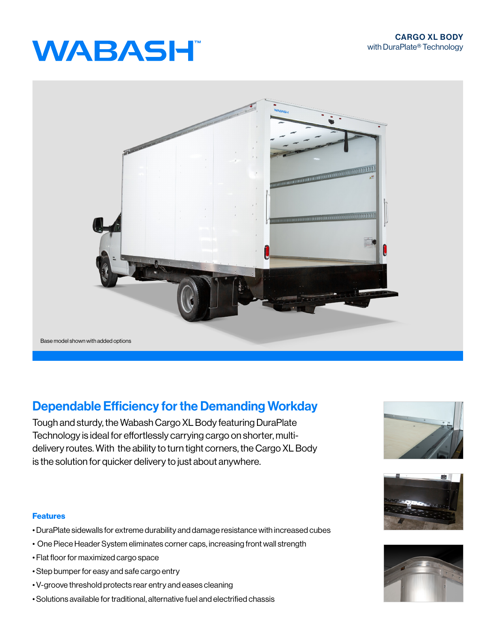# **WABASH**



## Dependable Efficiency for the Demanding Workday

Tough and sturdy, the Wabash Cargo XL Body featuring DuraPlate Technology is ideal for effortlessly carrying cargo on shorter, multidelivery routes. With the ability to turn tight corners, the Cargo XL Body is the solution for quicker delivery to just about anywhere.

### Features

- DuraPlate sidewalls for extreme durability and damage resistance with increased cubes
- One Piece Header System eliminates corner caps, increasing front wall strength
- Flat floor for maximized cargo space
- Step bumper for easy and safe cargo entry
- V-groove threshold protects rear entry and eases cleaning
- Solutions available for traditional, alternative fuel and electrified chassis